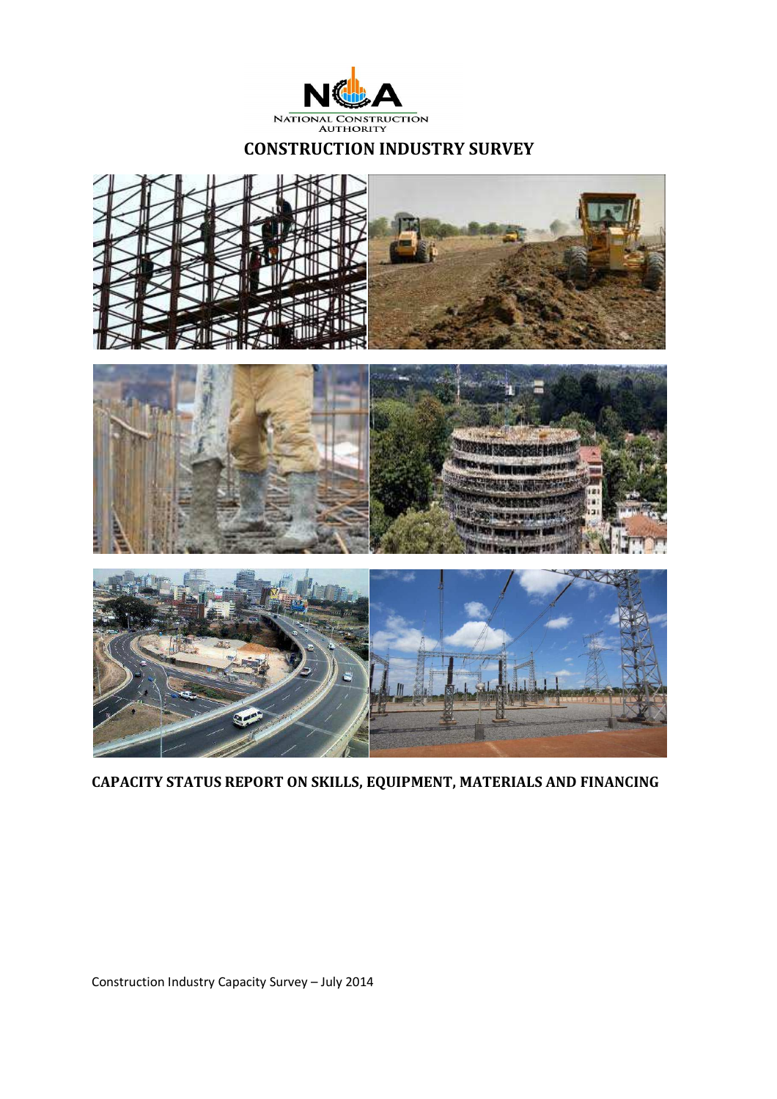

### **CONSTRUCTION INDUSTRY SURVEY**



**CAPACITY STATUS REPORT ON SKILLS, EQUIPMENT, MATERIALS AND FINANCING**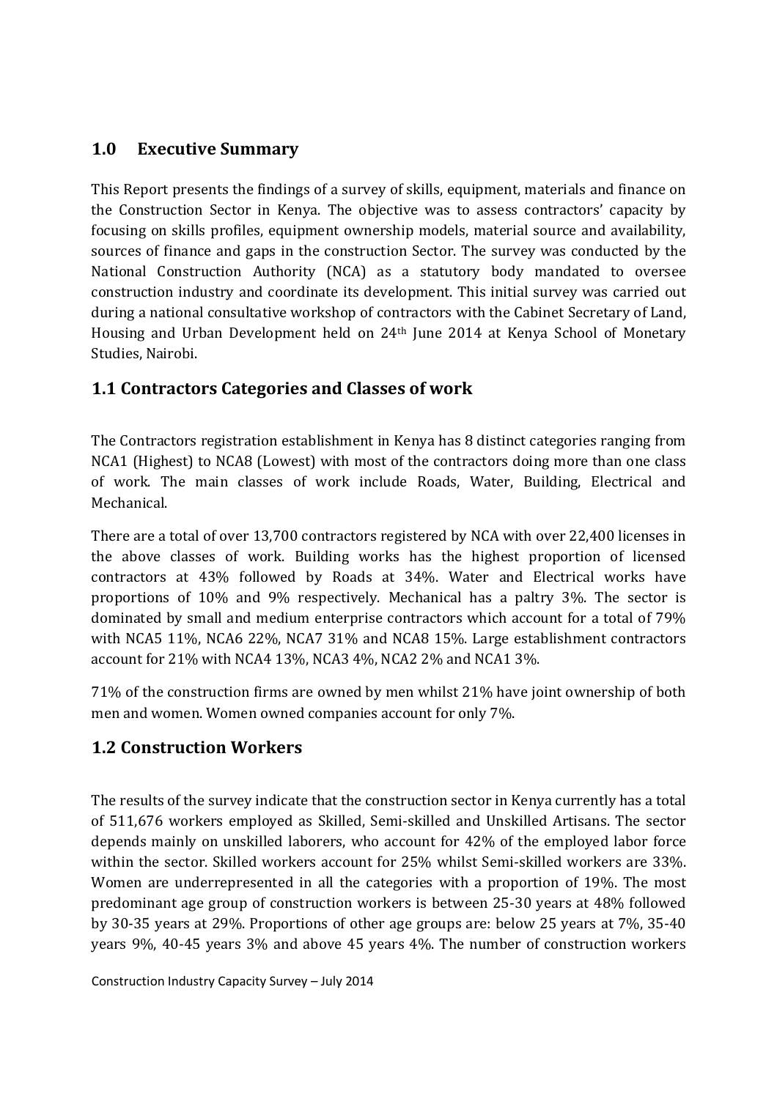### **1.0 Executive Summary**

This Report presents the findings of a survey of skills, equipment, materials and finance on the Construction Sector in Kenya. The objective was to assess contractors' capacity by focusing on skills profiles, equipment ownership models, material source and availability, sources of finance and gaps in the construction Sector. The survey was conducted by the National Construction Authority (NCA) as a statutory body mandated to oversee construction industry and coordinate its development. This initial survey was carried out during a national consultative workshop of contractors with the Cabinet Secretary of Land, Housing and Urban Development held on 24th June 2014 at Kenya School of Monetary Studies, Nairobi.

## **1.1 Contractors Categories and Classes of work**

The Contractors registration establishment in Kenya has 8 distinct categories ranging from NCA1 (Highest) to NCA8 (Lowest) with most of the contractors doing more than one class of work. The main classes of work include Roads, Water, Building, Electrical and Mechanical.

There are a total of over 13,700 contractors registered by NCA with over 22,400 licenses in the above classes of work. Building works has the highest proportion of licensed contractors at 43% followed by Roads at 34%. Water and Electrical works have proportions of 10% and 9% respectively. Mechanical has a paltry 3%. The sector is dominated by small and medium enterprise contractors which account for a total of 79% with NCA5 11%, NCA6 22%, NCA7 31% and NCA8 15%. Large establishment contractors account for 21% with NCA4 13%, NCA3 4%, NCA2 2% and NCA1 3%.

71% of the construction firms are owned by men whilst 21% have joint ownership of both men and women. Women owned companies account for only 7%.

## **1.2 Construction Workers**

The results of the survey indicate that the construction sector in Kenya currently has a total of 511,676 workers employed as Skilled, Semi-skilled and Unskilled Artisans. The sector depends mainly on unskilled laborers, who account for 42% of the employed labor force within the sector. Skilled workers account for 25% whilst Semi-skilled workers are 33%. Women are underrepresented in all the categories with a proportion of 19%. The most predominant age group of construction workers is between 25-30 years at 48% followed by 30-35 years at 29%. Proportions of other age groups are: below 25 years at 7%, 35-40 years 9%, 40-45 years 3% and above 45 years 4%. The number of construction workers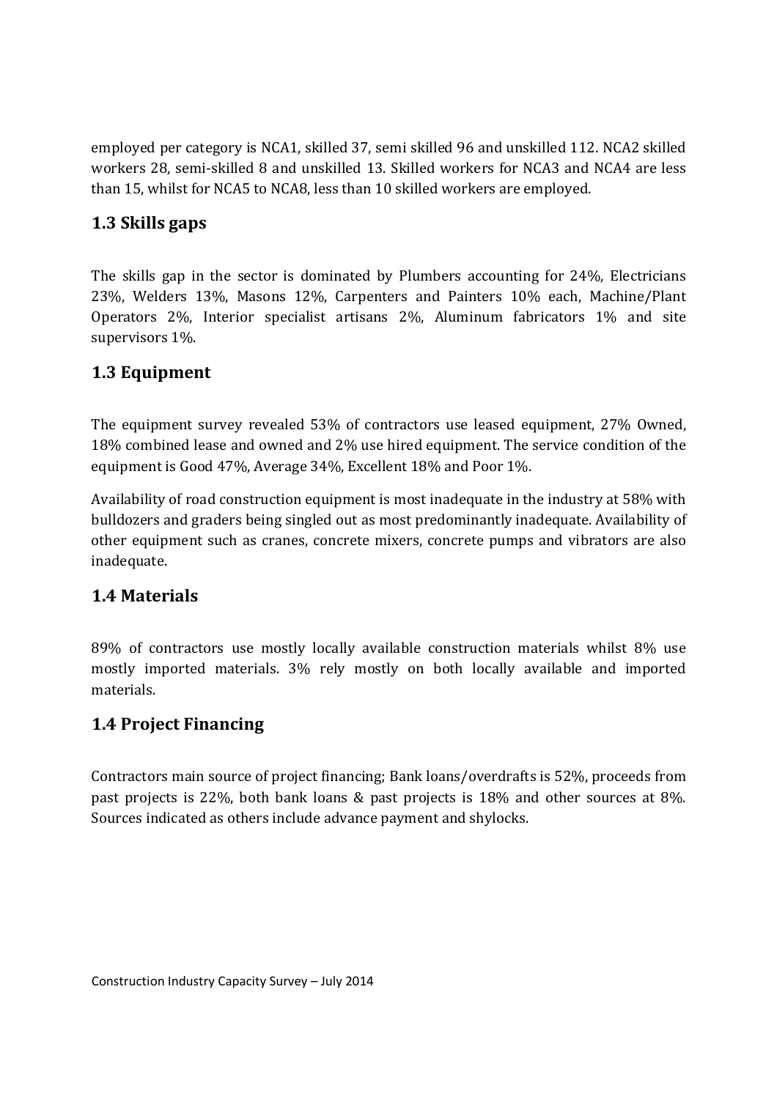employed per category is NCA1, skilled 37, semi skilled 96 and unskilled 112. NCA2 skilled workers 28, semi-skilled 8 and unskilled 13. Skilled workers for NCA3 and NCA4 are less than 15, whilst for NCA5 to NCA8, less than 10 skilled workers are employed.

### **1.3 Skills gaps**

The skills gap in the sector is dominated by Plumbers accounting for 24%, Electricians 23%, Welders 13%, Masons 12%, Carpenters and Painters 10% each, Machine/Plant Operators 2%, Interior specialist artisans 2%, Aluminum fabricators 1% and site supervisors 1%.

## **1.3 Equipment**

The equipment survey revealed 53% of contractors use leased equipment, 27% Owned, 18% combined lease and owned and 2% use hired equipment. The service condition of the equipment is Good 47%, Average 34%, Excellent 18% and Poor 1%.

Availability of road construction equipment is most inadequate in the industry at 58% with bulldozers and graders being singled out as most predominantly inadequate. Availability of other equipment such as cranes, concrete mixers, concrete pumps and vibrators are also inadequate.

## **1.4 Materials**

89% of contractors use mostly locally available construction materials whilst 8% use mostly imported materials. 3% rely mostly on both locally available and imported materials.

## **1.4 Project Financing**

Contractors main source of project financing; Bank loans/overdrafts is 52%, proceeds from past projects is 22%, both bank loans & past projects is 18% and other sources at 8%. Sources indicated as others include advance payment and shylocks.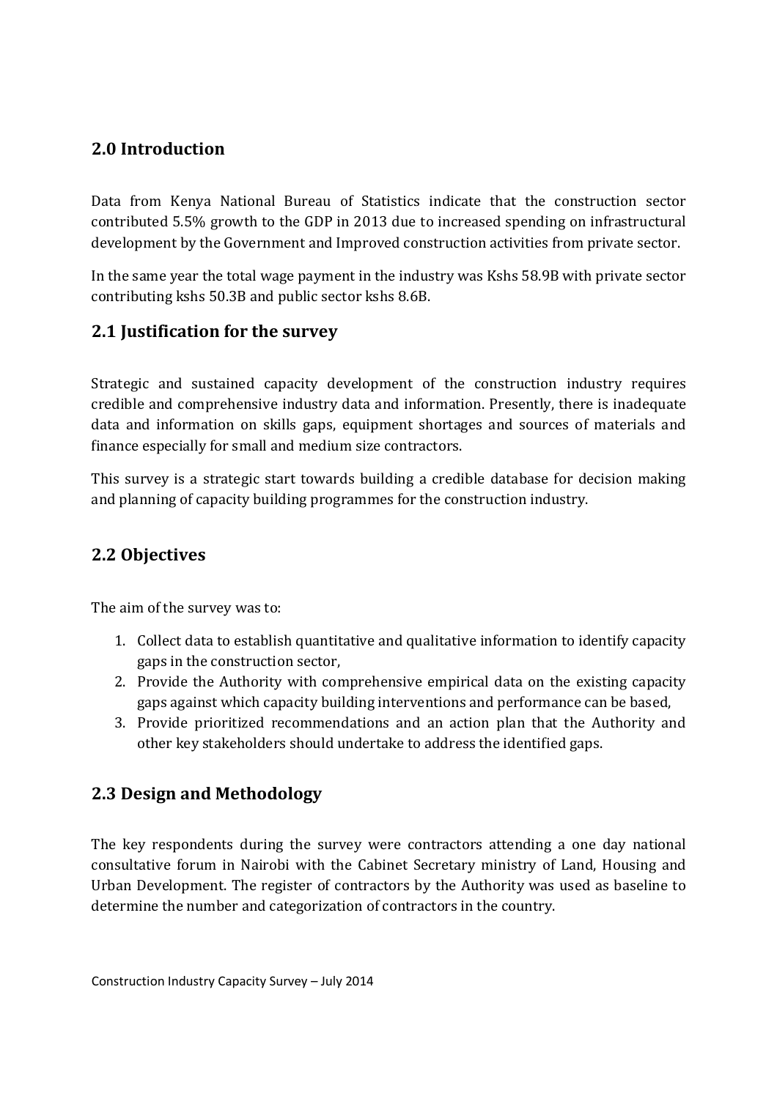### **2.0 Introduction**

Data from Kenya National Bureau of Statistics indicate that the construction sector contributed 5.5% growth to the GDP in 2013 due to increased spending on infrastructural development by the Government and Improved construction activities from private sector.

In the same year the total wage payment in the industry was Kshs 58.9B with private sector contributing kshs 50.3B and public sector kshs 8.6B.

### **2.1 Justification for the survey**

Strategic and sustained capacity development of the construction industry requires credible and comprehensive industry data and information. Presently, there is inadequate data and information on skills gaps, equipment shortages and sources of materials and finance especially for small and medium size contractors.

This survey is a strategic start towards building a credible database for decision making and planning of capacity building programmes for the construction industry.

### **2.2 Objectives**

The aim of the survey was to:

- 1. Collect data to establish quantitative and qualitative information to identify capacity gaps in the construction sector,
- 2. Provide the Authority with comprehensive empirical data on the existing capacity gaps against which capacity building interventions and performance can be based,
- 3. Provide prioritized recommendations and an action plan that the Authority and other key stakeholders should undertake to address the identified gaps.

## **2.3 Design and Methodology**

The key respondents during the survey were contractors attending a one day national consultative forum in Nairobi with the Cabinet Secretary ministry of Land, Housing and Urban Development. The register of contractors by the Authority was used as baseline to determine the number and categorization of contractors in the country.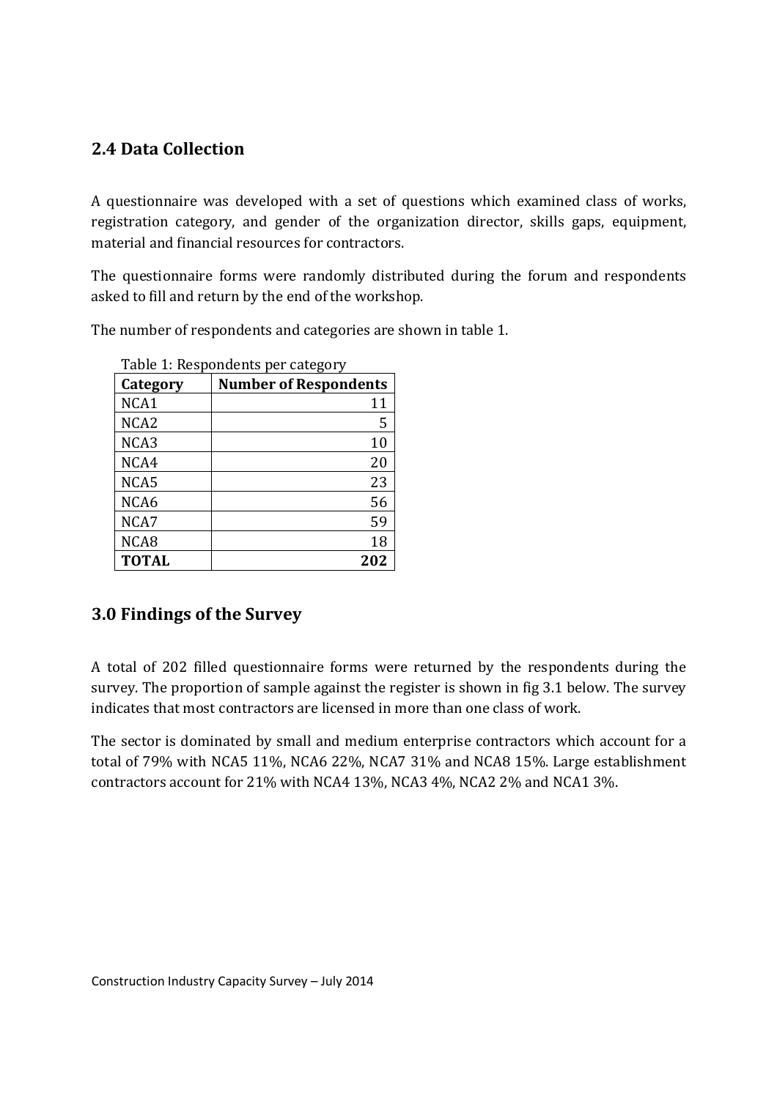### **2.4 Data Collection**

A questionnaire was developed with a set of questions which examined class of works, registration category, and gender of the organization director, skills gaps, equipment, material and financial resources for contractors.

The questionnaire forms were randomly distributed during the forum and respondents asked to fill and return by the end of the workshop.

The number of respondents and categories are shown in table 1.

| Table 1: Respondents per category |                              |
|-----------------------------------|------------------------------|
| Category                          | <b>Number of Respondents</b> |
| NCA1                              | 11                           |
| NCA <sub>2</sub>                  | 5                            |
| NCA3                              | 10                           |
| NCA4                              | 20                           |
| NCA5                              | 23                           |
| NCA6                              | 56                           |
| NCA7                              | 59                           |
| NCA8                              | 18                           |
| <b>TOTAL</b>                      | 202                          |

**3.0 Findings of the Survey** 

A total of 202 filled questionnaire forms were returned by the respondents during the survey. The proportion of sample against the register is shown in fig 3.1 below. The survey indicates that most contractors are licensed in more than one class of work.

The sector is dominated by small and medium enterprise contractors which account for a total of 79% with NCA5 11%, NCA6 22%, NCA7 31% and NCA8 15%. Large establishment contractors account for 21% with NCA4 13%, NCA3 4%, NCA2 2% and NCA1 3%.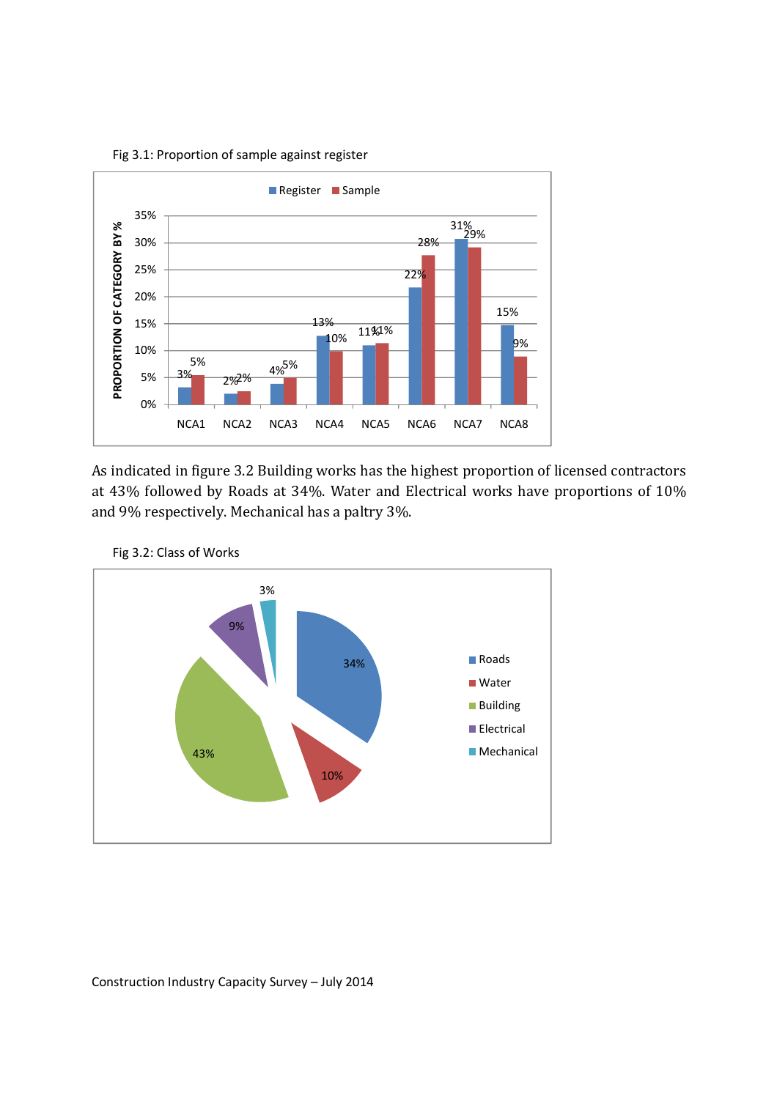

Fig 3.1: Proportion of sample against register

As indicated in figure 3.2 Building works has the highest proportion of licensed contractors





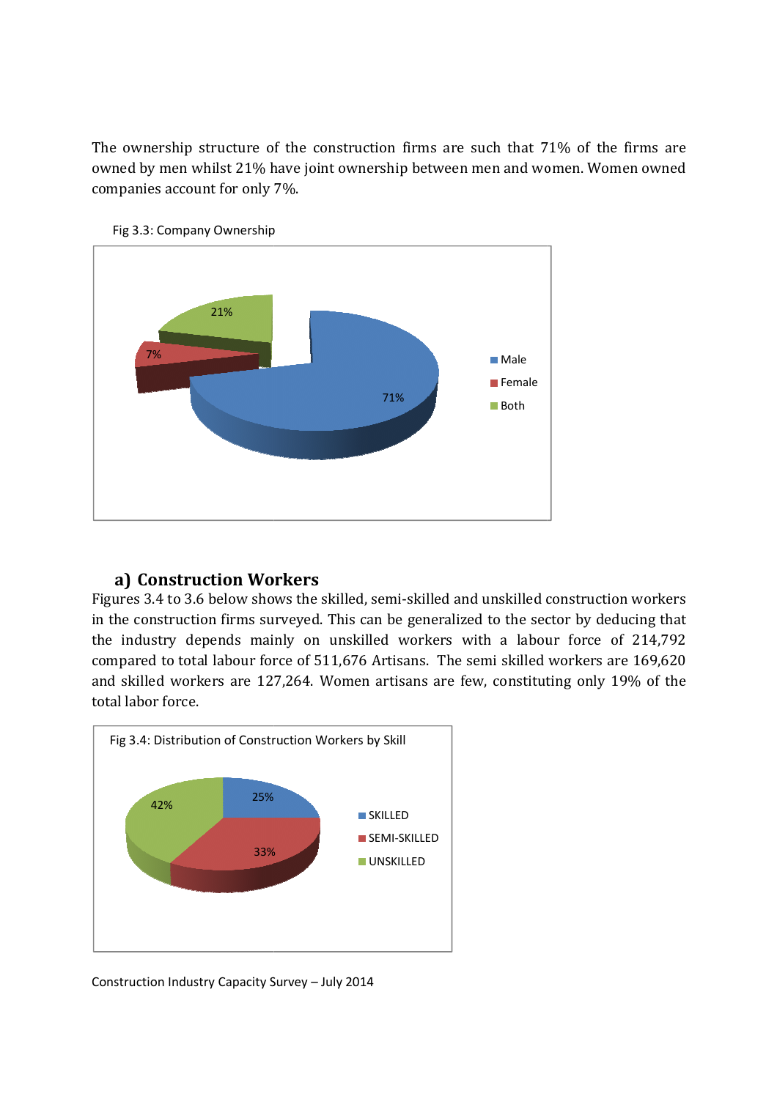The ownership structure of the construction firms are such that 71% of the firms are owned by men whilst 21% have joint ownership between men and women. Women owned companies account for only 7%.





### **a) Construction Workers**

Figures 3.4 to 3.6 below shows the skilled, semi-skilled and unskilled construction workers in the construction firms surveyed. This can be generalized to the sector the industry depends mainly on unskilled workers with a labour force of 214,792 compared to total labour force of 511,676 Artisans. The semi skilled workers are 169,620 compared to total labour force of 511,676 Artisans. The semi skilled workers are 169,620<br>and skilled workers are 127,264. Women artisans are few, constituting only 19% of the total labor force.

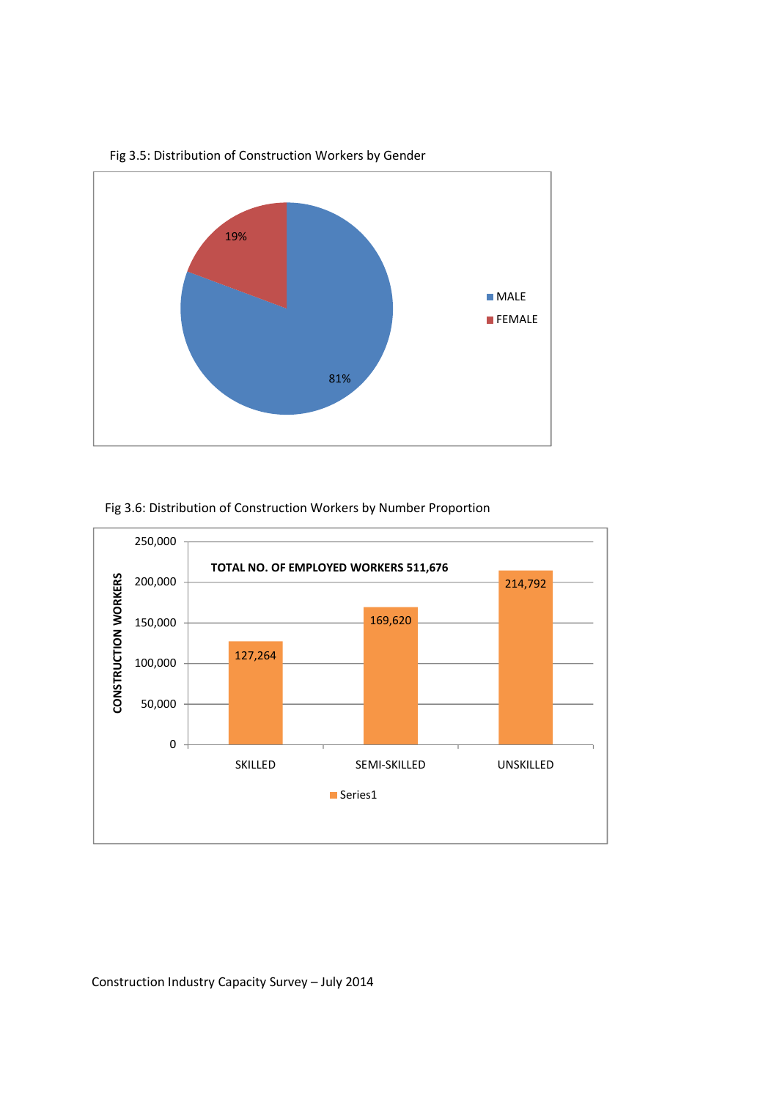



#### Fig 3.6: Distribution of Construction Workers by Number Proportion

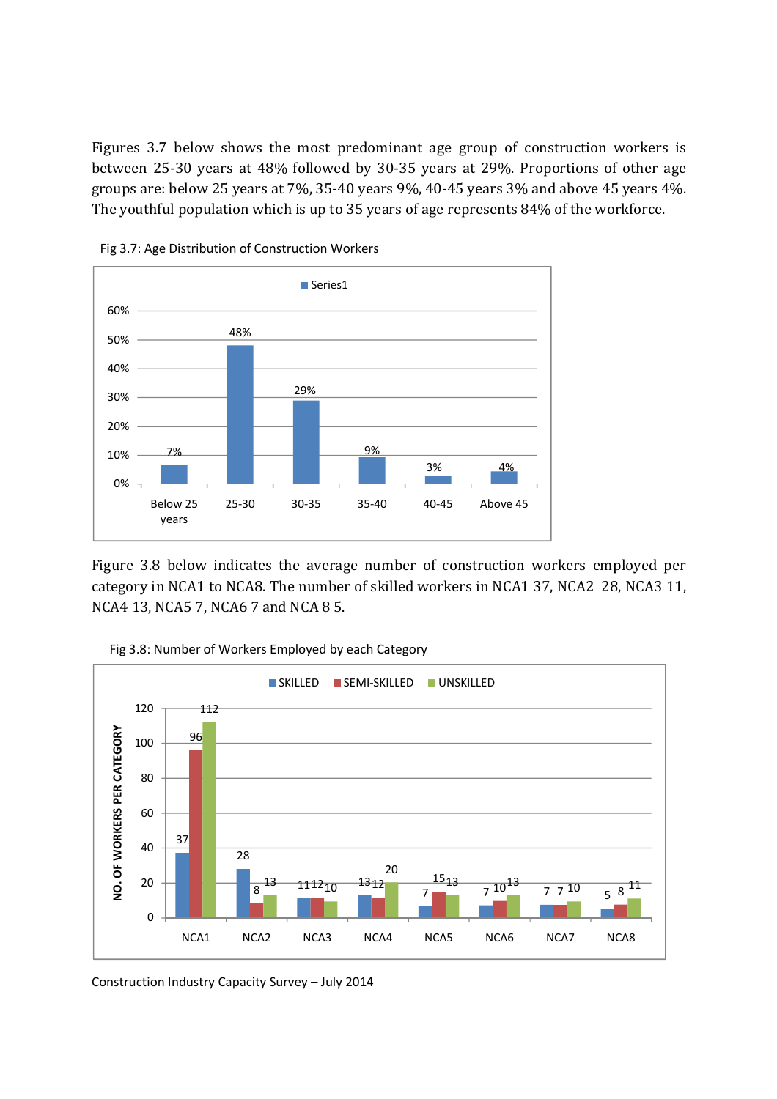Figures 3.7 below shows the most predominant age group of construction workers is between 25-30 years at 48% followed by 30-35 years at 29%. Proportions of other age groups are: below 25 years at 7%, 35-40 years 9%, 40-45 years 3% and above 45 years 4%. The youthful population which is up to 35 years of age represents 84% of the workforce.



Fig 3.7: Age Distribution of Construction Workers

Figure 3.8 below indicates the average number of construction workers employed per category in NCA1 to NCA8. The number of skilled workers in NCA1 37, NCA2 28, NCA3 11, NCA4 13, NCA5 7, NCA6 7 and NCA 8 5.



Fig 3.8: Number of Workers Employed by each Category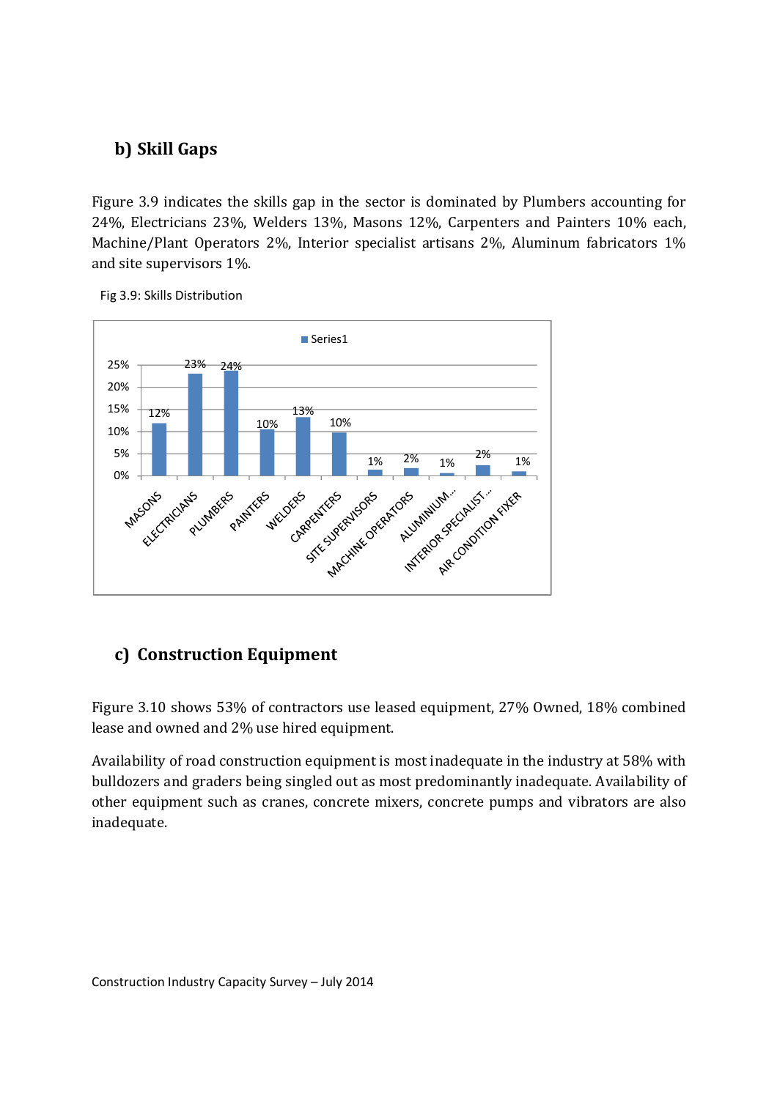## **b) Skill Gaps**

Figure 3.9 indicates the skills gap in the sector is dominated by Plumbers accounting for 24%, Electricians 23%, Welders 13%, Masons 12%, Carpenters and Painters 10% each, Machine/Plant Operators 2%, Interior specialist artisans 2%, Aluminum fabricators 1% and site supervisors 1%.



Fig 3.9: Skills Distribution

# **c) Construction Equipment**

Figure 3.10 shows 53% of contractors use leased equipment, 27% Owned, 18% combined lease and owned and 2% use hired equipment.

Availability of road construction equipment is most inadequate in the industry at 58% with bulldozers and graders being singled out as most predominantly inadequate. Availability of other equipment such as cranes, concrete mixers, concrete pumps and vibrators are also inadequate.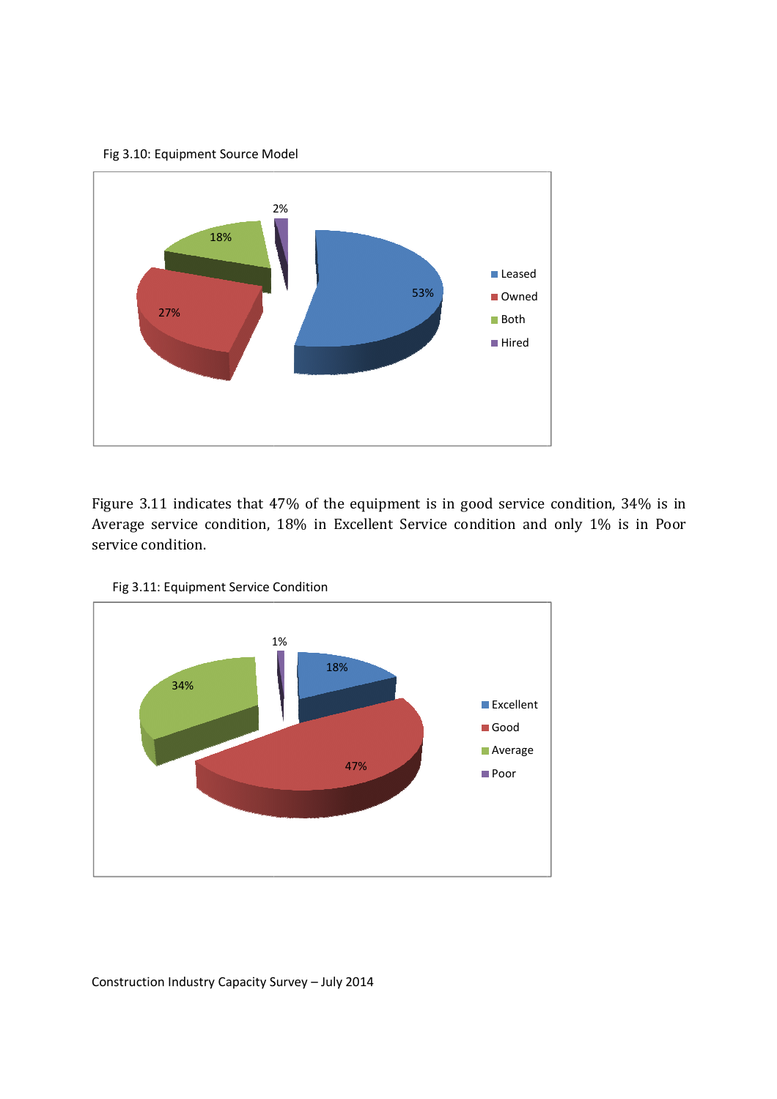Fig 3.10: Equipment Source Model



Figure 3.11 indicates that 47% of the equipment is in good service condition, 34% is in Figure 3.11 indicates that 47% of the equipment is in good service condition, 34% is in<br>Average service condition, 18% in Excellent Service condition and only 1% is in Poor service condition. ervice condition, 18% in Excellent Service condition and only 1% is dition.<br>Equipment Service Condition



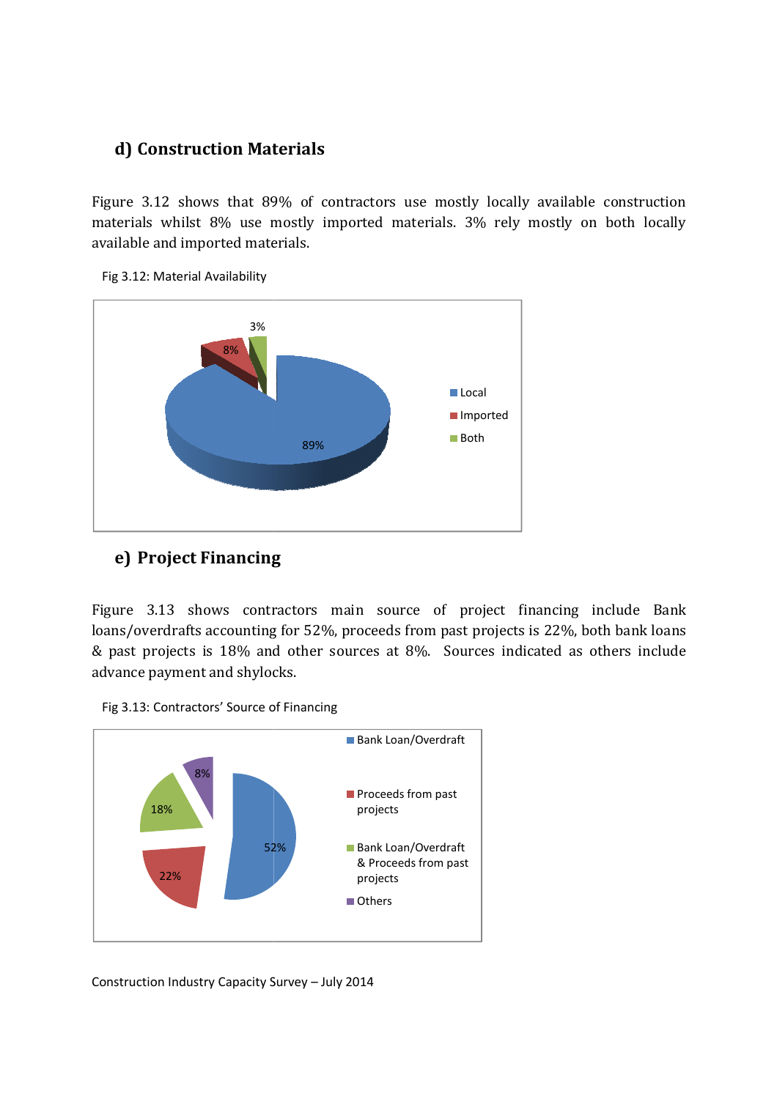### **d) Construction Materials**

Figure 3.12 shows that 89% of contractors use mostly locally available construction materials whilst 8% use mostly imported materials. 3% rely mostly on both locally available and imported materials.





### **e) Project Financing**

Figure 3.13 shows contractors main source of project financing loans/overdrafts accounting for 52%, proceeds from past projects is 22%, both bank loans & past projects is 18% and other sources at 8%. Sources indicated as others include advance payment and shylocks. 3.13 shows contractors main source of project financing include Bank verdrafts accounting for 52%, proceeds from past projects is 22%, both bank loans projects is 18% and other sources at 8%. Sources indicated as others i



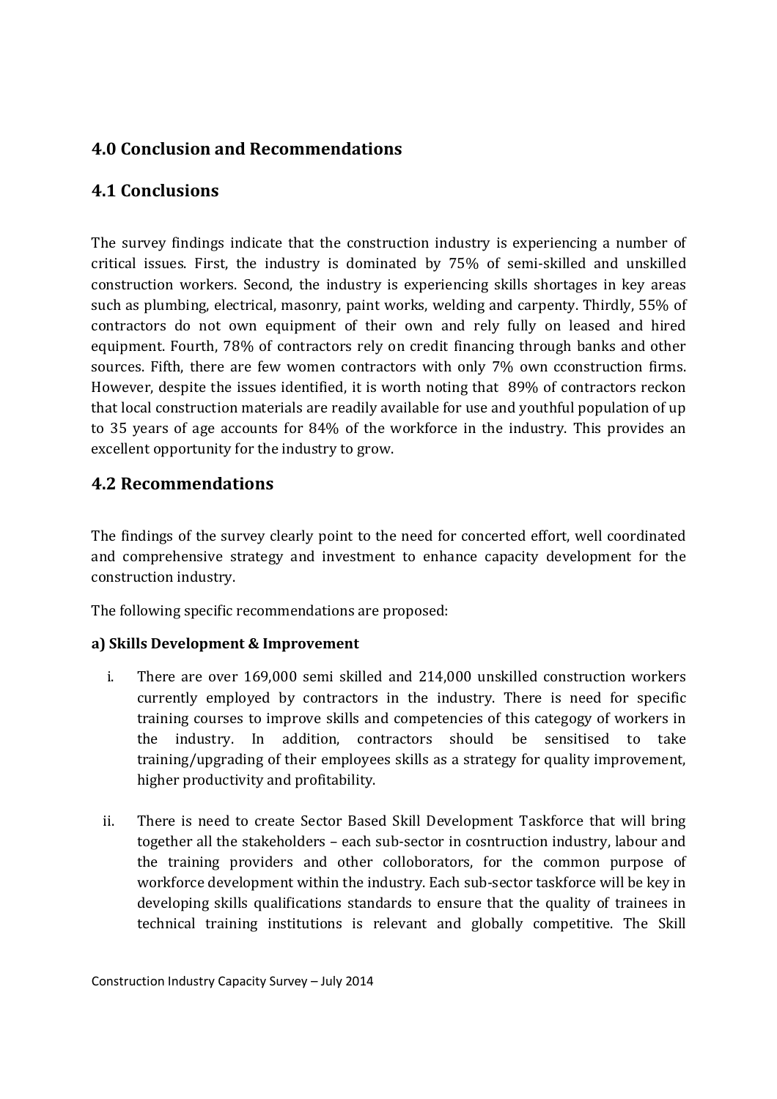## **4.0 Conclusion and Recommendations**

## **4.1 Conclusions**

The survey findings indicate that the construction industry is experiencing a number of critical issues. First, the industry is dominated by 75% of semi-skilled and unskilled construction workers. Second, the industry is experiencing skills shortages in key areas such as plumbing, electrical, masonry, paint works, welding and carpenty. Thirdly, 55% of contractors do not own equipment of their own and rely fully on leased and hired equipment. Fourth, 78% of contractors rely on credit financing through banks and other sources. Fifth, there are few women contractors with only 7% own cconstruction firms. However, despite the issues identified, it is worth noting that 89% of contractors reckon that local construction materials are readily available for use and youthful population of up to 35 years of age accounts for 84% of the workforce in the industry. This provides an excellent opportunity for the industry to grow.

### **4.2 Recommendations**

The findings of the survey clearly point to the need for concerted effort, well coordinated and comprehensive strategy and investment to enhance capacity development for the construction industry.

The following specific recommendations are proposed:

### **a) Skills Development & Improvement**

- i. There are over 169,000 semi skilled and 214,000 unskilled construction workers currently employed by contractors in the industry. There is need for specific training courses to improve skills and competencies of this categogy of workers in the industry. In addition, contractors should be sensitised to take training/upgrading of their employees skills as a strategy for quality improvement, higher productivity and profitability.
- ii. There is need to create Sector Based Skill Development Taskforce that will bring together all the stakeholders – each sub-sector in cosntruction industry, labour and the training providers and other colloborators, for the common purpose of workforce development within the industry. Each sub-sector taskforce will be key in developing skills qualifications standards to ensure that the quality of trainees in technical training institutions is relevant and globally competitive. The Skill